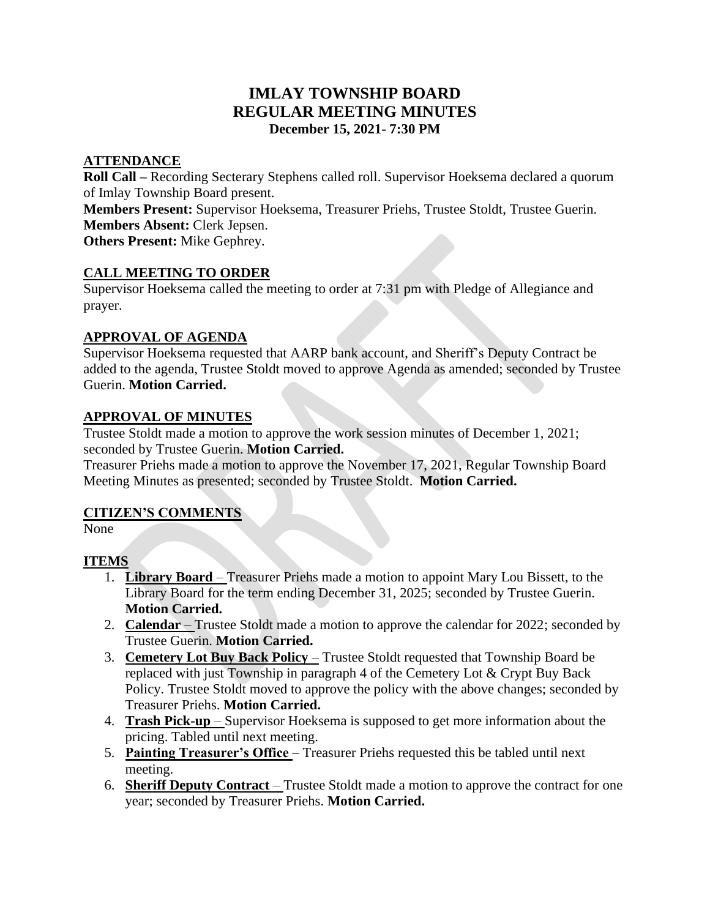## **IMLAY TOWNSHIP BOARD REGULAR MEETING MINUTES December 15, 2021- 7:30 PM**

## **ATTENDANCE**

**Roll Call –** Recording Secterary Stephens called roll. Supervisor Hoeksema declared a quorum of Imlay Township Board present.

**Members Present:** Supervisor Hoeksema, Treasurer Priehs, Trustee Stoldt, Trustee Guerin. **Members Absent:** Clerk Jepsen.

**Others Present:** Mike Gephrey.

## **CALL MEETING TO ORDER**

Supervisor Hoeksema called the meeting to order at 7:31 pm with Pledge of Allegiance and prayer.

## **APPROVAL OF AGENDA**

Supervisor Hoeksema requested that AARP bank account, and Sheriff's Deputy Contract be added to the agenda, Trustee Stoldt moved to approve Agenda as amended; seconded by Trustee Guerin. **Motion Carried.** 

## **APPROVAL OF MINUTES**

Trustee Stoldt made a motion to approve the work session minutes of December 1, 2021; seconded by Trustee Guerin. **Motion Carried.**

Treasurer Priehs made a motion to approve the November 17, 2021, Regular Township Board Meeting Minutes as presented; seconded by Trustee Stoldt. **Motion Carried.**

## **CITIZEN'S COMMENTS**

None

## **ITEMS**

- 1. **Library Board** Treasurer Priehs made a motion to appoint Mary Lou Bissett, to the Library Board for the term ending December 31, 2025; seconded by Trustee Guerin. **Motion Carried.**
- 2. **Calendar** Trustee Stoldt made a motion to approve the calendar for 2022; seconded by Trustee Guerin. **Motion Carried.**
- 3. **Cemetery Lot Buy Back Policy** Trustee Stoldt requested that Township Board be replaced with just Township in paragraph 4 of the Cemetery Lot & Crypt Buy Back Policy. Trustee Stoldt moved to approve the policy with the above changes; seconded by Treasurer Priehs. **Motion Carried.**
- 4. **Trash Pick-up** Supervisor Hoeksema is supposed to get more information about the pricing. Tabled until next meeting.
- 5. **Painting Treasurer's Office** Treasurer Priehs requested this be tabled until next meeting.
- 6. **Sheriff Deputy Contract** Trustee Stoldt made a motion to approve the contract for one year; seconded by Treasurer Priehs. **Motion Carried.**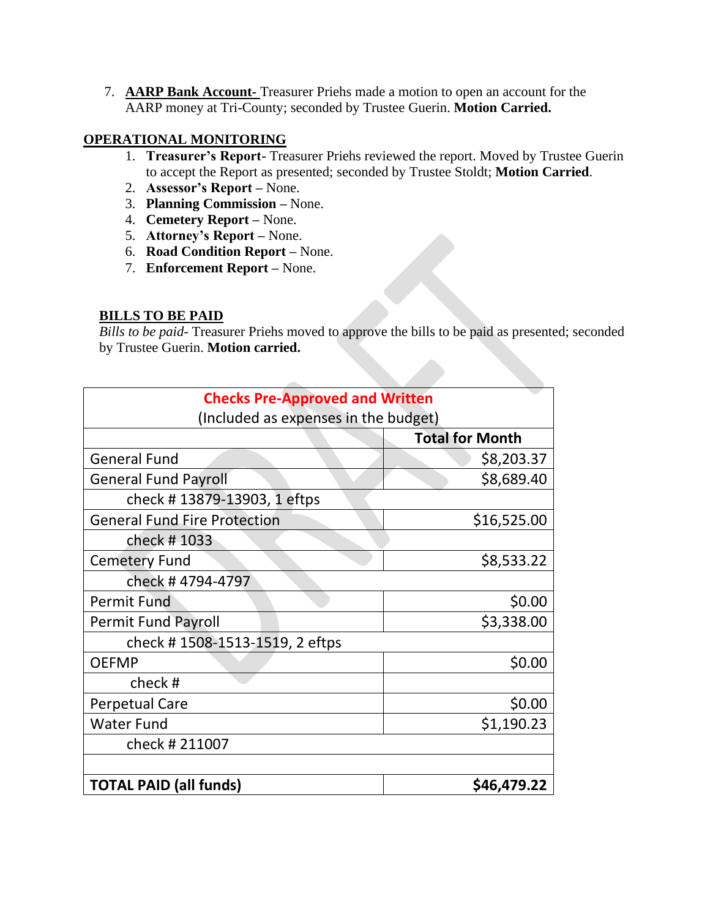7. **AARP Bank Account-** Treasurer Priehs made a motion to open an account for the AARP money at Tri-County; seconded by Trustee Guerin. **Motion Carried.** 

## **OPERATIONAL MONITORING**

- 1. **Treasurer's Report-** Treasurer Priehs reviewed the report. Moved by Trustee Guerin to accept the Report as presented; seconded by Trustee Stoldt; **Motion Carried**.
- 2. **Assessor's Report –** None.
- 3. **Planning Commission –** None.
- 4. **Cemetery Report –** None.
- 5. **Attorney's Report –** None.
- 6. **Road Condition Report –** None.
- 7. **Enforcement Report –** None.

## **BILLS TO BE PAID**

*Bills to be paid-* Treasurer Priehs moved to approve the bills to be paid as presented; seconded by Trustee Guerin. **Motion carried.**

| <b>Checks Pre-Approved and Written</b> |                        |
|----------------------------------------|------------------------|
| (Included as expenses in the budget)   |                        |
|                                        | <b>Total for Month</b> |
| <b>General Fund</b>                    | \$8,203.37             |
| <b>General Fund Payroll</b>            | \$8,689.40             |
| check #13879-13903, 1 eftps            |                        |
| <b>General Fund Fire Protection</b>    | \$16,525.00            |
| check #1033                            |                        |
| <b>Cemetery Fund</b>                   | \$8,533.22             |
| check #4794-4797                       |                        |
| <b>Permit Fund</b>                     | \$0.00                 |
| <b>Permit Fund Payroll</b>             | \$3,338.00             |
| check #1508-1513-1519, 2 eftps         |                        |
| <b>OEFMP</b>                           | \$0.00                 |
| check#                                 |                        |
| <b>Perpetual Care</b>                  | \$0.00                 |
| <b>Water Fund</b>                      | \$1,190.23             |
| check #211007                          |                        |
|                                        |                        |
| <b>TOTAL PAID (all funds)</b>          | \$46,479.22            |